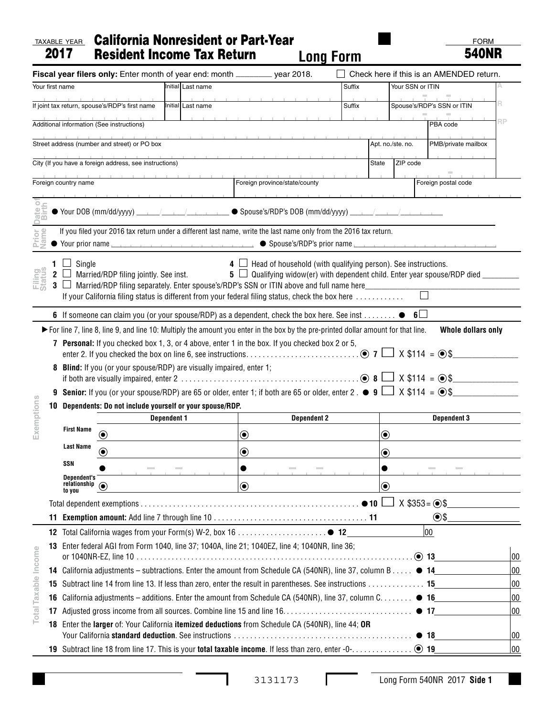## TAXABLE YEAR California Nonresident or Part-Year 2017 Resident Income Tax Return **Long Form**

FORM 540NR

|                                                |                                                                                                              |                                                                                                                                                                                                                                                                                       | Fiscal year filers only: Enter month of year end: month ________ year 2018.                                                                                                                                                                     |  |                   |                      |                                                                                                                                                                         |                                          |                             |                            | Check here if this is an AMENDED return. |    |  |
|------------------------------------------------|--------------------------------------------------------------------------------------------------------------|---------------------------------------------------------------------------------------------------------------------------------------------------------------------------------------------------------------------------------------------------------------------------------------|-------------------------------------------------------------------------------------------------------------------------------------------------------------------------------------------------------------------------------------------------|--|-------------------|----------------------|-------------------------------------------------------------------------------------------------------------------------------------------------------------------------|------------------------------------------|-----------------------------|----------------------------|------------------------------------------|----|--|
| Initial Last name<br>Your first name           |                                                                                                              |                                                                                                                                                                                                                                                                                       |                                                                                                                                                                                                                                                 |  |                   |                      |                                                                                                                                                                         | Suffix                                   |                             | Your SSN or ITIN           |                                          |    |  |
| If joint tax return, spouse's/RDP's first name |                                                                                                              |                                                                                                                                                                                                                                                                                       |                                                                                                                                                                                                                                                 |  | Initial Last name |                      |                                                                                                                                                                         | Suffix                                   |                             | Spouse's/RDP's SSN or ITIN |                                          | R  |  |
|                                                |                                                                                                              |                                                                                                                                                                                                                                                                                       | Additional information (See instructions)                                                                                                                                                                                                       |  |                   |                      |                                                                                                                                                                         |                                          |                             |                            | PBA code                                 | RP |  |
|                                                |                                                                                                              |                                                                                                                                                                                                                                                                                       | Street address (number and street) or PO box                                                                                                                                                                                                    |  |                   |                      |                                                                                                                                                                         | Apt. no./ste. no.<br>PMB/private mailbox |                             |                            |                                          |    |  |
|                                                |                                                                                                              |                                                                                                                                                                                                                                                                                       | City (If you have a foreign address, see instructions)                                                                                                                                                                                          |  |                   |                      |                                                                                                                                                                         |                                          | <b>State</b>                | ZIP code                   |                                          |    |  |
|                                                |                                                                                                              | Foreign country name                                                                                                                                                                                                                                                                  |                                                                                                                                                                                                                                                 |  |                   |                      | Foreign province/state/county                                                                                                                                           |                                          |                             |                            | Foreign postal code                      |    |  |
|                                                |                                                                                                              |                                                                                                                                                                                                                                                                                       |                                                                                                                                                                                                                                                 |  |                   |                      |                                                                                                                                                                         |                                          |                             |                            |                                          |    |  |
| Date                                           |                                                                                                              |                                                                                                                                                                                                                                                                                       |                                                                                                                                                                                                                                                 |  |                   |                      |                                                                                                                                                                         |                                          |                             |                            |                                          |    |  |
| Prior<br>Name                                  |                                                                                                              |                                                                                                                                                                                                                                                                                       | If you filed your 2016 tax return under a different last name, write the last name only from the 2016 tax return.                                                                                                                               |  |                   |                      |                                                                                                                                                                         |                                          |                             |                            |                                          |    |  |
|                                                |                                                                                                              |                                                                                                                                                                                                                                                                                       |                                                                                                                                                                                                                                                 |  |                   |                      |                                                                                                                                                                         |                                          |                             |                            |                                          |    |  |
| <b>Filing</b><br>Status                        | $3 \Box$                                                                                                     | 1 $\Box$ Single                                                                                                                                                                                                                                                                       | 2 $\Box$ Married/RDP filing jointly. See inst.<br>Married/RDP filing separately. Enter spouse's/RDP's SSN or ITIN above and full name here<br>If your California filing status is different from your federal filing status, check the box here |  |                   |                      | $\overline{4}$ $\Box$ Head of household (with qualifying person). See instructions.<br>5 $\Box$ Qualifying widow(er) with dependent child. Enter year spouse/RDP died _ |                                          |                             |                            |                                          |    |  |
|                                                |                                                                                                              |                                                                                                                                                                                                                                                                                       | 6 If someone can claim you (or your spouse/RDP) as a dependent, check the box here. See inst $\bullet$                                                                                                                                          |  |                   |                      |                                                                                                                                                                         |                                          |                             | $6\Box$                    |                                          |    |  |
|                                                | 9                                                                                                            | 8 Blind: If you (or your spouse/RDP) are visually impaired, enter 1;<br><b>Senior:</b> If you (or your spouse/RDP) are 65 or older, enter 1; if both are 65 or older, enter 2 . $\bullet$ 9 $\Box$ X \$114 = $\circ$ \$<br>10 Dependents: Do not include yourself or your spouse/RDP. |                                                                                                                                                                                                                                                 |  |                   |                      |                                                                                                                                                                         |                                          |                             |                            |                                          |    |  |
|                                                |                                                                                                              | <b>Dependent 1</b>                                                                                                                                                                                                                                                                    |                                                                                                                                                                                                                                                 |  |                   |                      | <b>Dependent 2</b>                                                                                                                                                      |                                          |                             | <b>Dependent 3</b>         |                                          |    |  |
| Exemptions                                     |                                                                                                              | <b>First Name</b>                                                                                                                                                                                                                                                                     | $(\bullet)$                                                                                                                                                                                                                                     |  |                   | $\boldsymbol{\odot}$ |                                                                                                                                                                         |                                          | $\boldsymbol{\copyright}$   |                            |                                          |    |  |
|                                                |                                                                                                              | <b>Last Name</b>                                                                                                                                                                                                                                                                      |                                                                                                                                                                                                                                                 |  |                   | ◉                    |                                                                                                                                                                         |                                          | $\bf{(\bullet)}$            |                            |                                          |    |  |
|                                                |                                                                                                              | SSN                                                                                                                                                                                                                                                                                   |                                                                                                                                                                                                                                                 |  |                   |                      |                                                                                                                                                                         |                                          |                             |                            |                                          |    |  |
|                                                |                                                                                                              | <b>Dependent's</b><br>relationship $\circledcirc$<br>to you                                                                                                                                                                                                                           |                                                                                                                                                                                                                                                 |  |                   | $\bf \odot$          |                                                                                                                                                                         |                                          | $\textcolor{blue}{\bullet}$ |                            |                                          |    |  |
|                                                |                                                                                                              |                                                                                                                                                                                                                                                                                       |                                                                                                                                                                                                                                                 |  |                   |                      |                                                                                                                                                                         |                                          |                             | $X$ \$353 = $\odot$ \$     |                                          |    |  |
| 11                                             |                                                                                                              | $\odot$ \$                                                                                                                                                                                                                                                                            |                                                                                                                                                                                                                                                 |  |                   |                      |                                                                                                                                                                         |                                          |                             |                            |                                          |    |  |
|                                                |                                                                                                              |                                                                                                                                                                                                                                                                                       |                                                                                                                                                                                                                                                 |  |                   |                      |                                                                                                                                                                         |                                          |                             |                            | 00                                       |    |  |
| Total Taxable Income                           | Enter federal AGI from Form 1040, line 37; 1040A, line 21; 1040EZ, line 4; 1040NR, line 36;<br>13            |                                                                                                                                                                                                                                                                                       |                                                                                                                                                                                                                                                 |  |                   |                      |                                                                                                                                                                         |                                          |                             |                            | 00                                       |    |  |
|                                                |                                                                                                              | 14 California adjustments - subtractions. Enter the amount from Schedule CA (540NR), line 37, column B 14                                                                                                                                                                             |                                                                                                                                                                                                                                                 |  |                   |                      |                                                                                                                                                                         |                                          |                             |                            |                                          | 00 |  |
|                                                | Subtract line 14 from line 13. If less than zero, enter the result in parentheses. See instructions 15<br>15 |                                                                                                                                                                                                                                                                                       |                                                                                                                                                                                                                                                 |  |                   |                      |                                                                                                                                                                         |                                          |                             |                            |                                          | 00 |  |
| 16                                             |                                                                                                              |                                                                                                                                                                                                                                                                                       | California adjustments – additions. Enter the amount from Schedule CA (540NR), line 37, column C. $\bullet$ 16                                                                                                                                  |  |                   |                      |                                                                                                                                                                         |                                          |                             |                            |                                          | 00 |  |
| 17                                             |                                                                                                              |                                                                                                                                                                                                                                                                                       |                                                                                                                                                                                                                                                 |  |                   |                      |                                                                                                                                                                         |                                          |                             |                            |                                          | 00 |  |
|                                                |                                                                                                              |                                                                                                                                                                                                                                                                                       | 18 Enter the larger of: Your California itemized deductions from Schedule CA (540NR), line 44; OR                                                                                                                                               |  |                   |                      |                                                                                                                                                                         |                                          |                             |                            |                                          | 00 |  |
|                                                |                                                                                                              |                                                                                                                                                                                                                                                                                       |                                                                                                                                                                                                                                                 |  |                   |                      |                                                                                                                                                                         |                                          |                             |                            |                                          | 00 |  |

I

Г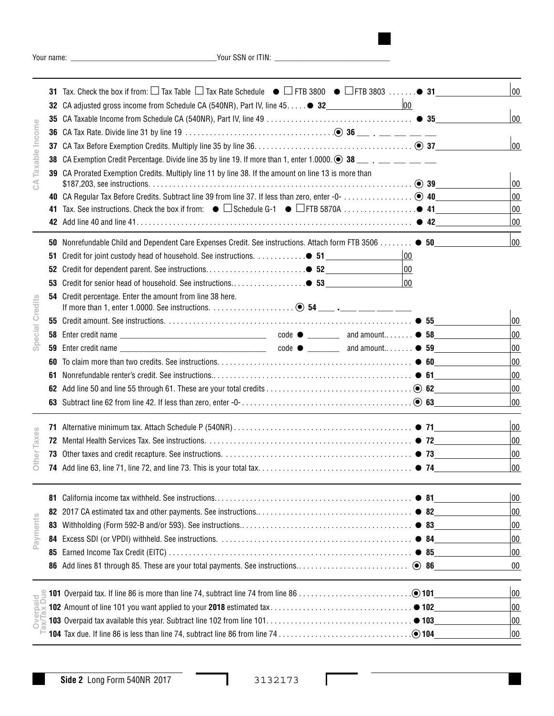Your name: \_\_\_\_\_\_\_\_\_\_\_\_\_\_\_\_\_\_\_\_\_\_\_\_\_\_\_\_\_\_\_\_\_\_\_\_\_\_Your SSN or ITIN: \_\_\_\_\_\_\_\_\_\_\_\_\_\_\_\_\_\_\_\_\_\_\_\_\_\_\_\_\_\_

| Taxable Income     |     | 31 Tax. Check the box if from: $\square$ Tax Table $\square$ Tax Rate Schedule $\bullet$ $\square$ FTB 3800 $\bullet$ $\square$ FTB 3803 $\bullet$ 31     | 00           |
|--------------------|-----|-----------------------------------------------------------------------------------------------------------------------------------------------------------|--------------|
|                    |     | $ 00\rangle$<br>32 CA adjusted gross income from Schedule CA (540NR), Part IV, line 45. 32_________________________                                       |              |
|                    |     |                                                                                                                                                           | 00           |
|                    |     |                                                                                                                                                           |              |
|                    | 37  |                                                                                                                                                           | 00           |
|                    | 38  | CA Exemption Credit Percentage. Divide line 35 by line 19. If more than 1, enter 1.0000. $\bigcirc$ 38 _____ ___ ___ ___                                  |              |
| $\mathfrak{S}$     |     | 39 CA Prorated Exemption Credits. Multiply line 11 by line 38. If the amount on line 13 is more than                                                      |              |
|                    |     |                                                                                                                                                           | $ 00\rangle$ |
|                    |     |                                                                                                                                                           | 00           |
|                    | 41. |                                                                                                                                                           | 00<br>00     |
|                    |     |                                                                                                                                                           |              |
|                    |     | 50 Nonrefundable Child and Dependent Care Expenses Credit. See instructions. Attach form FTB 3506 ● 50_______                                             | $ 00\rangle$ |
|                    | 51  | Credit for joint custody head of household. See instructions. ● 51<br>00                                                                                  |              |
|                    | 52  | 00                                                                                                                                                        |              |
|                    | 53  | 00<br>Credit for senior head of household. See instructions● 53                                                                                           |              |
|                    | 54  | Credit percentage. Enter the amount from line 38 here.                                                                                                    |              |
| Special Credits    |     |                                                                                                                                                           | $ 00\rangle$ |
|                    | 58  |                                                                                                                                                           | 00           |
|                    | 59  |                                                                                                                                                           | 00           |
|                    | 60  | To claim more than two credits. See instructions. $\ldots \ldots \ldots \ldots \ldots \ldots \ldots \ldots \ldots \ldots \ldots \ldots \ldots \bullet 60$ | 00           |
|                    | 61  |                                                                                                                                                           | 00           |
|                    | 62  |                                                                                                                                                           | 00           |
|                    |     |                                                                                                                                                           | 00           |
|                    |     |                                                                                                                                                           |              |
|                    | 71  |                                                                                                                                                           | $ 00\rangle$ |
| Taxes              | 72  |                                                                                                                                                           | 00           |
| Other <sup>-</sup> | 73  |                                                                                                                                                           | 00           |
|                    |     |                                                                                                                                                           | 00           |
|                    |     |                                                                                                                                                           |              |
|                    | 81  |                                                                                                                                                           | 00           |
|                    | 82  |                                                                                                                                                           | 00           |
|                    | 83  |                                                                                                                                                           | 00           |
| Payments           | 84  |                                                                                                                                                           | 00           |
|                    | 85  |                                                                                                                                                           | 00           |
|                    |     |                                                                                                                                                           | $00\,$       |
|                    |     |                                                                                                                                                           | 00           |
|                    |     |                                                                                                                                                           | 00           |
| Overpaid           |     |                                                                                                                                                           | 00           |
|                    |     |                                                                                                                                                           | 00           |
|                    |     |                                                                                                                                                           |              |

 $\overline{\phantom{0}}$ <sup>-</sup>

Г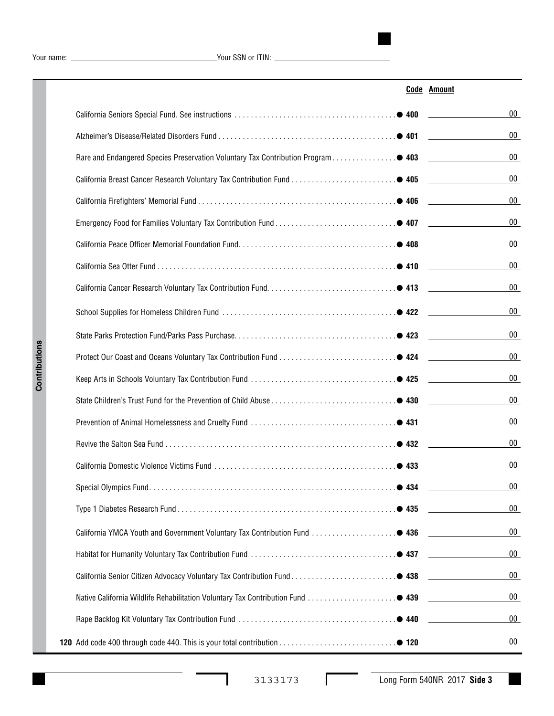Your name: \_\_\_\_\_\_\_\_\_\_\_\_\_\_\_\_\_\_\_\_\_\_\_\_\_\_\_\_\_\_\_\_\_\_\_\_\_\_Your SSN or ITIN: \_\_\_\_\_\_\_\_\_\_\_\_\_\_\_\_\_\_\_\_\_\_\_\_\_\_\_\_\_\_

|                                                                                  | <b>Code Amount</b> |
|----------------------------------------------------------------------------------|--------------------|
|                                                                                  | $00\,$             |
|                                                                                  | $00\,$             |
| Rare and Endangered Species Preservation Voluntary Tax Contribution Program● 403 | $00\,$             |
|                                                                                  | $00\,$             |
|                                                                                  | $00\,$             |
|                                                                                  | $00\,$             |
|                                                                                  | $00\,$             |
|                                                                                  | $00\,$             |
|                                                                                  | $00\,$             |
|                                                                                  | $00\,$             |
|                                                                                  | $00\,$             |
|                                                                                  | $00\,$             |
|                                                                                  | $00\,$             |
|                                                                                  | $00\,$             |
|                                                                                  | $00\,$             |
|                                                                                  | $00\,$             |
|                                                                                  | $00\,$             |
|                                                                                  | 00                 |
|                                                                                  | $00\,$             |
| California YMCA Youth and Government Voluntary Tax Contribution Fund ● 436       | $00\,$             |
|                                                                                  | $00\,$             |
|                                                                                  | $00\,$             |
|                                                                                  | $00\,$             |
|                                                                                  | $00\,$             |
|                                                                                  | $00\,$             |

 $\Gamma$ 

 $\overline{\phantom{a}}$